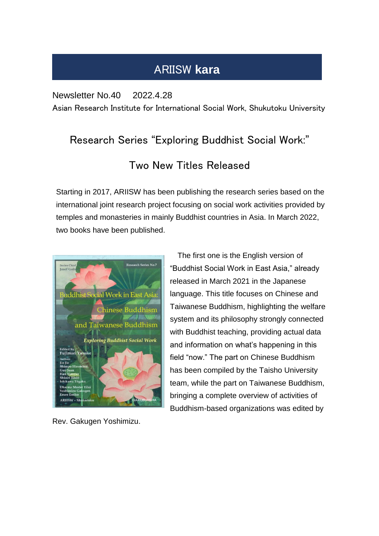## ARIISW **kara**

Newsletter No.40 2022.4.28

Asian Research Institute for International Social Work, Shukutoku University

## Research Series "Exploring Buddhist Social Work:" Two New Titles Released

Starting in 2017, ARIISW has been publishing the research series based on the international joint research project focusing on social work activities provided by temples and monasteries in mainly Buddhist countries in Asia. In March 2022, two books have been published.



Rev. Gakugen Yoshimizu.

The first one is the English version of "Buddhist Social Work in East Asia," already released in March 2021 in the Japanese language. This title focuses on Chinese and Taiwanese Buddhism, highlighting the welfare system and its philosophy strongly connected with Buddhist teaching, providing actual data and information on what's happening in this field "now." The part on Chinese Buddhism has been compiled by the Taisho University team, while the part on Taiwanese Buddhism, bringing a complete overview of activities of Buddhism-based organizations was edited by